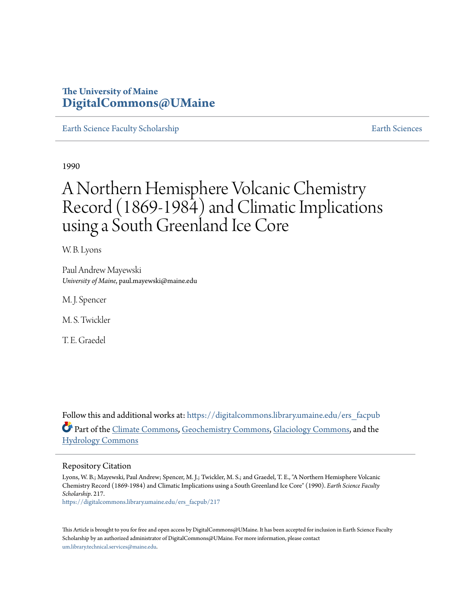# **The University of Maine [DigitalCommons@UMaine](https://digitalcommons.library.umaine.edu?utm_source=digitalcommons.library.umaine.edu%2Fers_facpub%2F217&utm_medium=PDF&utm_campaign=PDFCoverPages)**

[Earth Science Faculty Scholarship](https://digitalcommons.library.umaine.edu/ers_facpub?utm_source=digitalcommons.library.umaine.edu%2Fers_facpub%2F217&utm_medium=PDF&utm_campaign=PDFCoverPages) **[Earth Sciences](https://digitalcommons.library.umaine.edu/ers?utm_source=digitalcommons.library.umaine.edu%2Fers_facpub%2F217&utm_medium=PDF&utm_campaign=PDFCoverPages)** 

1990

# A Northern Hemisphere Volcanic Chemistry Record (1869-1984) and Climatic Implications using a South Greenland Ice Core

W. B. Lyons

Paul Andrew Mayewski *University of Maine*, paul.mayewski@maine.edu

M. J. Spencer

M. S. Twickler

T. E. Graedel

Follow this and additional works at: [https://digitalcommons.library.umaine.edu/ers\\_facpub](https://digitalcommons.library.umaine.edu/ers_facpub?utm_source=digitalcommons.library.umaine.edu%2Fers_facpub%2F217&utm_medium=PDF&utm_campaign=PDFCoverPages) Part of the [Climate Commons,](http://network.bepress.com/hgg/discipline/188?utm_source=digitalcommons.library.umaine.edu%2Fers_facpub%2F217&utm_medium=PDF&utm_campaign=PDFCoverPages) [Geochemistry Commons,](http://network.bepress.com/hgg/discipline/157?utm_source=digitalcommons.library.umaine.edu%2Fers_facpub%2F217&utm_medium=PDF&utm_campaign=PDFCoverPages) [Glaciology Commons](http://network.bepress.com/hgg/discipline/159?utm_source=digitalcommons.library.umaine.edu%2Fers_facpub%2F217&utm_medium=PDF&utm_campaign=PDFCoverPages), and the [Hydrology Commons](http://network.bepress.com/hgg/discipline/1054?utm_source=digitalcommons.library.umaine.edu%2Fers_facpub%2F217&utm_medium=PDF&utm_campaign=PDFCoverPages)

# Repository Citation

Lyons, W. B.; Mayewski, Paul Andrew; Spencer, M. J.; Twickler, M. S.; and Graedel, T. E., "A Northern Hemisphere Volcanic Chemistry Record (1869-1984) and Climatic Implications using a South Greenland Ice Core" (1990). *Earth Science Faculty Scholarship*. 217.

[https://digitalcommons.library.umaine.edu/ers\\_facpub/217](https://digitalcommons.library.umaine.edu/ers_facpub/217?utm_source=digitalcommons.library.umaine.edu%2Fers_facpub%2F217&utm_medium=PDF&utm_campaign=PDFCoverPages)

This Article is brought to you for free and open access by DigitalCommons@UMaine. It has been accepted for inclusion in Earth Science Faculty Scholarship by an authorized administrator of DigitalCommons@UMaine. For more information, please contact [um.library.technical.services@maine.edu](mailto:um.library.technical.services@maine.edu).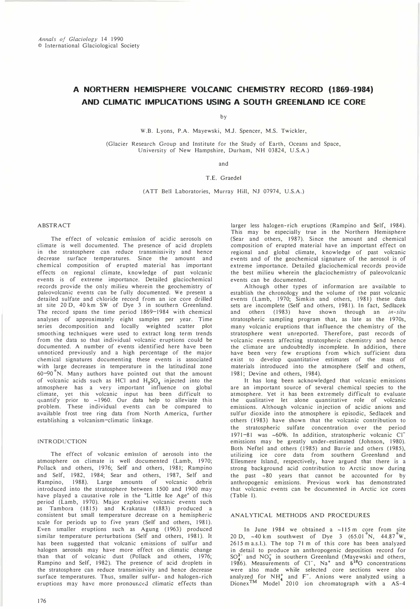# A NORTHERN HEMISPHERE VOLCANIC CHEMISTRY RECORD {1869-1984} AND CLIMATIC IMPLICATIONS USING A SOUTH GREENLAND ICE CORE

by

W.B. Lyons, P.A. Mayewski, M.J. Spencer, M.S. Twickler,

(Glacier Research Group and Institute for the Study of Earth, Oceans and Space, University of New Hampshire, Durham, NH 03824, U.S.A.)

and

## T.E. Graedel

(A TT Bell Laboratories, Murray Hill, NJ 07974, U.S.A.)

#### ABSTRACT

The effect of volcanic emission of acidic aerosols on climate is well documented. The presence of acid droplets in the stratosphere can reduce transmissivity and hence decrease surface temperatures. Since the amount and chemical composition of erupted material has important effects on regional climate, knowledge of past volcanic events is of extreme importance. Detailed glaciochemical records provide the only milieu wherein the geochemistry of paleovolcanic events can be fully documented. We present a detailed sulfate and chloride record from an ice core drilled at site 20 D, 40 km SW of Dye 3 in southern Greenland. The record spans the time period 1869-1984 with chemical analyses of approximately eight samples per year. Time series decomposition and locally weighted scatter plot smoothing techniques were used to extract long term trends from the data so that individual volcanic eruptions could be documented. A number of events identified here have been unnoticed previously and a high percentage of the major chemical signatures documenting these events is associated with large decreases in temperature in the latitudinal zone  $60-90$  N. Many authors have pointed out that the amount of volcanic acids such as HCl and  $H_2SO_4$  injected into the atmosphere has a very important influence on global climate, yet this volcanic input has been difficult to quantify prior to ~1960. Our data help to alleviate this problem. These individual events can be compared to available frost tree ring data from North America, further establishing a volcanism-climatic linkage.

#### INTRODUCTION

The effect of volcanic emission of aerosols into the atmosphere on climate is well documented (Lamb, 1970; Pollack and others, 1976; Self and others, 1981; Rampino and Self, 1982, 1984; Sear and others, 1987, Self and Rampino, 1988). Large amounts of volcanic debris introduced into the stratosphere between 1500 and 1900 may have played a causative role in the "Little Ice Age" of this period (Lamb, 1970). Major explosive volcanic events such as Tambora (1815) and Krakatau (1883) produced a consistent but small temperature decrease on a hemispheric scale for periods up to five years (Self and others, 1981). Even smaller eruptions such as Agung (1963) produced similar temperature perturbations (Self and others, 1981). It has been suggested that volcanic emissions of sulfur and halogen aerosols may have more effect on climatic change than that of volcanic dust (Pollack and others, 1976; Rampino and Self, 1982). The presence of acid droplets in the stratosph2re can reduce transmissivity and hence decrease surface temperatures. Thus, smaller sulfur-and halogen-rich eruptions may have more pronounced climatic effects than

larger less halogen-rich eruptions (Rampino and Self, 1984). This may be especially true in the Northern Hemisphere (Sear and others, 1987). Since the amount and chemical composition of erupted material have an important effect on regional and global climate, knowledge of past volcanic events and of the geochemical signature of the aerosol is of extreme importance. Detailed glaciochemical records provide the best milieu wherein the glaciochemistry of paleovolcanic events can be documented.

A Ithough other types of information are available to establish the chronology and the volume of the past volcanic events (Lamb, 1970; Simkin and others, 1981) these data sets are incomplete (Self and others, 1981). In fact, Sedlacek and others (1983) have shown through an in-situ stratospheric sampling program that, as late as the 1970s, many volcanic eruptions that influence the chemistry of the stratosphere went unreported. Therefore, past records of volcanic events affecting stratospheric chemistry and hence the climate are undoubtedly incomplete. In addition, there have been very few eruptions from which sufficient data exist to develop quantitative estimates of the mass of materials introduced into the atmosphere (Self and others, 1981; Devine and others, 1984).

It has long been acknowledged that volcanic emissions are an important source of several chemical species to the atmosphere. Yet it has been extremely difficult to evaluate the qualitative let alone quantitative role of volcanic emissions. Although volcanic injection of acidic anions and sulfur dioxide into the atmosphere is episodic, Sedlacek and others (1983) have shown that the volcanic contribution to the stratospheric sulfate concentration over the period 1971-81 was -60%. In addition, stratospheric volcanic Clemissions may be greatly under-estimated (Johnson, 1980). Both Neftel and others (1985) and Barrie and others (1985), utilizing ice core data from southern Greenland and Ellesmere Island, respectively, have argued that there is a strong background acid contribution to Arctic snow during the past -80 years that cannot be accounted for by anthropogenic emissions. Previous work has demonstrated that volcanic events can be documented in Arctic ice cores (Table I).

#### ANAL YTICAL METHODS AND PROCEDURES

In June 1984 we obtained a  $\sim$ 115 m core from site 20 D,  $\sim$  40 km southwest of Dye 3 (65.01 N, 44.87 W, 2615 m a.s.I.). The top 71 m of this core has been analyzed in detail to produce an anthropogenic deposition record for  $SO_4^{2-}$  and NO<sub>3</sub> in southern Greenland (Mayewski and others, 1986). Measurements of  $Cl^-,$  Na<sup>+</sup> and  $\delta^{10}O$  concentrations were also made while selected core sections were also<br>analyzed for NH<sup>+</sup> and F<sup>-</sup>. Anions were analyzed using a  $Dionex<sup>1M</sup>$  Model 2010 ion chromatograph with a AS-4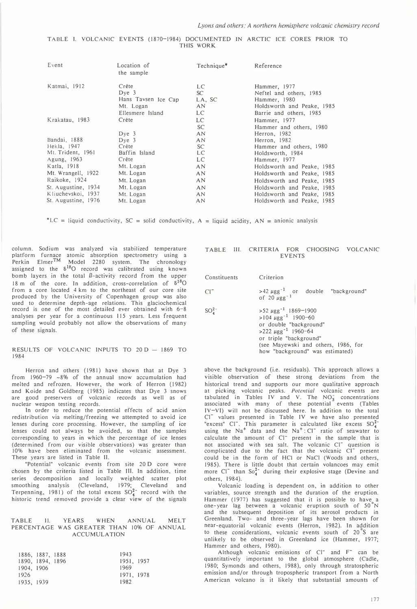#### TABLE I. VOLCANIC EVENTS (1870-1984) DOCUMENTED IN ARCTIC ICE CORES PRIOR TO THIS WORK

| Event               | Location of<br>the sample | $Technique*$    | Reference                  |
|---------------------|---------------------------|-----------------|----------------------------|
| Katmai, 1912        | Crête                     | LC.             | Hammer, 1977               |
|                     | $Dye$ 3                   | SC <sup>-</sup> | Neftel and others, 1985    |
|                     | Hans Tavsen Ice Cap       | LA, SC          | Hammer, 1980               |
|                     | Mt. Logan                 | AN              | Holdsworth and Peake, 1985 |
|                     | Ellesmere Island          | LC              | Barrie and others, 1985    |
| Krakatau, 1983      | Crête                     | LC              | Hammer, 1977               |
|                     |                           | SC.             | Hammer and others, 1980    |
|                     | $Dye$ 3                   | AN              | Herron, 1982               |
| Bandai, 1888        | Dve <sub>3</sub>          | AN              | Herron, 1982               |
| Hekla, 1947         | Crête                     | SC.             | Hammer and others, 1980    |
| Mt. Trident, 1961   | Baffin Island             | LC              | Holdsworth, 1984           |
| Agung, 1963         | Crête                     | LC              | Hammer, 1977               |
| Katla, 1918         | Mt. Logan                 | <b>AN</b>       | Holdsworth and Peake, 1985 |
| Mt. Wrangell, 1922  | Mt. Logan                 | AN.             | Holdsworth and Peake, 1985 |
| Raikoke, 1924       | Mt. Logan                 | AN              | Holdsworth and Peake, 1985 |
| St. Augustine, 1934 | Mt. Logan                 | AN              | Holdsworth and Peake, 1985 |
| Kliuchevskoi, 1937  | Mt. Logan                 | AN.             | Holdsworth and Peake, 1985 |
| St. Augustine, 1976 | Mt. Logan                 | AN              | Holdsworth and Peake, 1985 |

\*LC = liquid conductivity,  $SC = solid conductivity$ ,  $A = liquid acidity$ ,  $AN = anionic analysis$ 

column. Sodium was analyzed via stabilized temperature platform furnace atomic absorption spectrometry using a Perkin Elmer™ Model 2280 system. The chronology assigned to the  $\delta^{18}O$  record was calibrated using known bomb layers in the total B-activity record from the upper 18 m of the core. In addition, cross-correlation of  $\delta^{18}$ O from a core located 4 km to the northeast of our core site produced by the University of Copenhagen group was also used to determine depth-age relations. This glaciochemical record is one of the most detailed ever obtained with 6-8 analyses per year for a continuous 115 years. Less frequent sampling would probably not allow the observations of many of these signals.

#### RESULTS OF VOLCANIC INPUTS TO  $20 D - 1869$  TO 1984

Herron and others (1981) have shown that at Dye 3 from 1960-79 -8% of the annual snow accumulation had melted and refrozen. However, the work of Herron (1982) and Koide and Goldberg (1985) indicates that Dye 3 snows are good preservers of volcanic records as well as of nuclear weapon testing records.

In order to reduce the potential effects of acid anion redistribution via melting/freezing we attempted to avoid ice lenses during core processing. However, the sampling of ice lenses could not always be avoided, so that the samples corresponding to years in which the percentage of ice lenses (determined from our visible observations) was greater than 10% have been eliminated from the volcanic assessment. These years are listed in Table II.

"Potential" volcanic events from site 20 D core were chosen by the criteria listed in Table Ill. In addition, time series decomposition and locally weighted scatter plot smoothing analysis (Cleveland, 1979; Cleveland and Terpenning, 1981) of the total excess  $SO_4^*$  record with the historic trend removed provide a clear view of the signals

#### TABLE 11. YEARS WHEN ANNUAL MELT PERCENTAGE WAS GREATER THAN 10% OF ANNUAL ACCUMULA TION

|            | 1886, 1887, 1888 | 1943       |  |
|------------|------------------|------------|--|
|            | 1890, 1894, 1896 | 1951, 1957 |  |
| 1904, 1906 |                  | 1969       |  |
| 1926       |                  | 1971, 1978 |  |
| 1935, 1939 |                  | 1982       |  |

#### TABLE Ill. CRITERIA FOR CHOOSING VOLCANIC EVENTS

| Constituents | Criterion                                                                                                                                                                                                                                        |  |  |
|--------------|--------------------------------------------------------------------------------------------------------------------------------------------------------------------------------------------------------------------------------------------------|--|--|
| $Cl^{-}$     | >42 $\mu$ gg <sup>-1</sup> or double "background"<br>of 20 $\mu$ gg <sup>-1</sup>                                                                                                                                                                |  |  |
| $SO_4^{2-}$  | $>52 \mu$ gg <sup>-1</sup> 1869-1900<br>>104 $\mu$ gg <sup>-1</sup> 1900-60<br>or double "background"<br>$>222 \mu$ gg <sup>-1</sup> 1960-64<br>or triple "background"<br>(see Mayewski and others, 1986, for<br>how "background" was estimated) |  |  |

above the background (i.e. residuals). This approach allows a visible observation of these strong deviations from the historical trend and supports our more qualitative approach at picking volcanic peaks. Potential volcanic events are tabulated in Tables IV and V. The  $NO_3^-$  concentrations associated with many of these potential events (Tables IV-VI) will not be discussed here. In addition to the total CI- values presented in Table IV we have also presented "excess" CI<sup>-</sup>. This parameter is calculated like excess  $SO_4^{2-}$ using the  $Na<sup>+</sup>$  data and the  $Na<sup>+</sup>: Cl<sup>-</sup>$  ratio of seawater to calculate the amount of CI- present in the sample that is not associated with sea salt. The volcanic Cl<sup>-</sup> question is complicated due to the fact that the volcanic Cl<sup>-</sup> present could be in the form of HCI or NaCl (Woods and others, 1985). There is little doubt that certain volancoes may emit more CI<sup>-</sup> than So<sub>4</sub><sup>2</sup>- during their explosive stage (Devine and others, 1984).

Volcanic loading is dependent on, in addition to other variables, source strength and the duration of the eruption. Hammer (1977) has suggested that it is possible to have a one-year lag between a volcanic eruption south of 50 N and the subsequent deposition of its aerosol products in Greenland. Two- and three-year lags have been shown for near-equatorial volcanic events (Herron, 1982). In addition to these considerations, volcanic events south of 20<sup>°</sup>S are unlikely to be observed in Greenland ice (Hammer, 1977; Hammer and others, 1980).

Although volcanic emissions of Cl<sup>-</sup> and F<sup>-</sup> can be Quantitatively important to the global atmosphere (Cadle, 1980; Symonds and others, 1988), only through stratospheric emission and/or through tropospheric transport from a North American volcano is it likely that substantial amounts of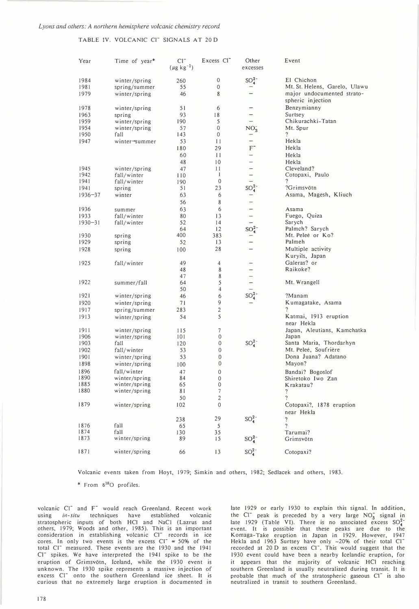TABLE IV. VOLCANIC CI<sup>-</sup> SIGNALS AT 20 D

| Year        | Time of year* | $CI^{-}$<br>$(\mu g kg^{-1})$ | Excess Cl <sup>-</sup> | Other<br>excesses    | Event                                           |
|-------------|---------------|-------------------------------|------------------------|----------------------|-------------------------------------------------|
| 1984        | winter/spring | 260                           | 0                      | $SO_4^{2-}$          | El Chichon                                      |
| 1981        | spring/summer | 55                            | 0                      |                      | Mt. St. Helens, Garelo, Ulawu                   |
| 1979        | winter/spring | 46                            | 8                      |                      | major undocumented strato-<br>spheric injection |
| 1978        | winter/spring | 51                            | 6                      | -                    | Benzymianny                                     |
| 1963        | spring        | 93                            | 18                     | -                    | Surtsey                                         |
| 1959        | winter/spring | 190                           | 5                      |                      | Chikurachki-Tatan                               |
| 1954        | winter/spring | 57                            | 0                      | $NO_3^-$             | Mt. Spur                                        |
| 1950        | fall          | 143                           | 0                      |                      | $\ddot{?}$                                      |
| 1947        | winter→summer | 53                            | 11                     | $\qquad \qquad -$    | Hekla                                           |
|             |               | 180                           | 29                     | $F^-$                | Hekla                                           |
|             |               | 60                            | 11                     |                      | Hekla                                           |
|             |               | 48                            | 10                     |                      | Hekla                                           |
| 1945        | winter/spring | 47                            | 11                     |                      | Cleveland?                                      |
| 1942        | fall/winter   | 110                           | $\mathbf{I}$           |                      | Cotopaxi, Paulo                                 |
| 1941        | fall/winter   | 190                           | $\mathbf{0}$           |                      | 7                                               |
| 1941        | spring        | 51                            | 23                     | $SO_4^2$             | ?Grimsvötn                                      |
| $1936 - 37$ | winter        | 63                            | 6                      |                      | Asama, Magesh, Kliuch                           |
|             |               | 56                            | 8                      |                      |                                                 |
| 1936        | summer        | 63                            | 6                      |                      | Asama                                           |
| 1933        | fall/winter   | 80                            | 13                     | $\qquad \qquad -$    | Fuego, Quiza                                    |
| $1930 - 31$ | fall/winter   | 52                            | 14                     |                      | Sarych                                          |
|             |               | 64                            | 12                     | $\mathrm{SO}_4^{2-}$ | Palmch? Sarych                                  |
| 1930        | spring        | 400                           | 383                    |                      | Mt. Peleé or Ko?                                |
| 1929        | spring        | 52                            | 13                     |                      | Palmeh                                          |
| 1928        | spring        | 100                           | 28                     |                      | Multiple activity                               |
|             |               |                               |                        |                      | Kuryils, Japan                                  |
| 1925        | fall/winter   | 49                            | 4                      |                      | Galeras? or                                     |
|             |               | 48                            | 8                      |                      | Raikoke?                                        |
|             |               | 47                            | 8                      |                      |                                                 |
| 1922        | summer/fall   | 64                            | 5                      |                      | Mt. Wrangell                                    |
|             |               | 50                            | 4                      |                      |                                                 |
| 1921        | winter/spring | 46                            | 6                      | $SO_4^2$             | ?Manam                                          |
| 1920        | winter/spring | 71                            | 9                      |                      | Kumagatake, Asama                               |
| 1917        | spring/summer | 283                           | $\mathbf{2}$           |                      | ?                                               |
| 1913        | winter/spring | 54                            | 5                      |                      | Katmai, 1913 eruption                           |
|             |               |                               |                        |                      | near Hekla                                      |
| 1911        | winter/spring | 115                           | 7                      |                      | Japan, Aleutians, Kamchatka                     |
| 1906        | winter/spring | 101                           | 0                      |                      | Japan                                           |
| 1903        | fall          | 120                           | 0                      | $SO_4^{2-}$          | Santa Maria, Thordarhyn                         |
| 1902        | fall/winter   | 53                            | 0                      |                      | Mt. Peleé, Soufrière                            |
| 1901        | winter/spring | 53                            | 0                      |                      | Dona Juana? Adatano                             |
| 1898        | winter/spring | 100                           | 0                      |                      | Mayon?                                          |
| 1896        | fall/winter   | 47                            | 0                      |                      | Bandai? Bogoslof                                |
| 1890        | winter/spring | 84                            | 0                      |                      | Shiretoko Iwo Zan                               |
| 1885        | winter/spring | 65                            | 0                      |                      | Krakatau?                                       |
| 1880        | winter/spring | 81                            | 7                      |                      | $\gamma$                                        |
|             |               | 50                            | $\overline{c}$         |                      | $\boldsymbol{\gamma}$                           |
| 1879        | winter/spring | 102                           | $\boldsymbol{0}$       |                      | Cotopaxi?, 1878 eruption<br>near Hekla          |
|             |               | 238                           | 29                     | $SO_4^{2-}$          | $\overline{\phantom{a}}$                        |
| 1876        | fall          | 65                            | 5                      |                      | $\overline{\phantom{a}}$                        |
| 1874        | fall          | 130                           | 35                     |                      | Tarumai?                                        |
| 1873        | winter/spring | 89                            | 15                     | $SO_4^{2-}$          | Grimsvötn                                       |
|             |               |                               |                        |                      |                                                 |
| 1871        | winter/spring | 66                            | 13                     | $SO_4^{2-}$          | Cotopaxi?                                       |

Volcanic events taken from Hoyt, 1979; Simkin and others, 1982; Sedlacek and others, 1983.

\* From 5180 profiles.

volcanic Cl<sup>-</sup> and F<sup>-</sup> would reach Greenland. Recent work using in-situ techniques have established volcanic stratospheric inputs of both HCI and NaCI (Lazrus and others, 1979; Woods and other, 1985). This is an important<br>consideration in establishing volcanic Cl<sup>-</sup> records in ice<br>cores. In only two events is the excess Cl<sup>-</sup>  $\approx$  50% of the total Cl<sup>-</sup> measured. These events are the 1930 and the 1941 Cl<sup>-</sup> spikes. We have interpreted the 1941 spike to be the eruption of Grimsvötn, Iceland, while the 1930 event is unknown. The 1930 spike represents a massive injection of excess Cl<sup>-</sup> onto the southern Greenland ice sheet. It is curious that no extremely large eruption is documented in

late 1929 or early 1930 to explain this signal. In addition, the Cl<sup>-</sup> peak is preceded by a very large  $NO<sub>3</sub>$  signal in late 1929 (Table VI). There is no associated excess  $SO_4^2$ event. It is possible that these peaks are due to the Komaga-Take eruption in Japan in 1929. However, 1947 Hekla and 1963 Surtsey have only ~20% of their total Cl<sup>-</sup> recorded at 20 D as excess CI<sup>-</sup>. This would suggest that the 1930 event could have been a nearby Icelandic eruption, for it appears that the majority of volcanic HCl reaching southern Greenland is usually neutralized during transit. It is probable that much of the stratospheric gaseous Cl<sup>-</sup> is also neutralized in transit to southern Greenland.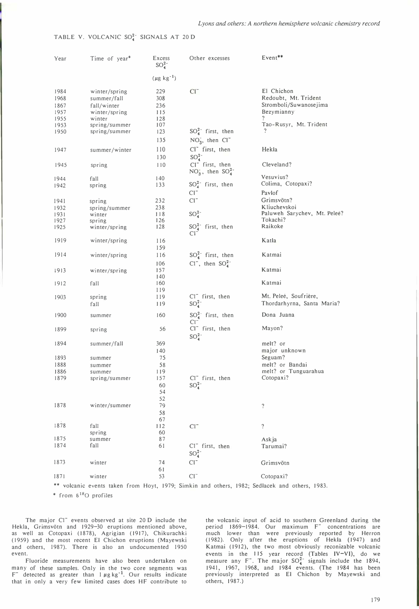# TABLE V. VOLCANIC  $SO_4^{2-}$  SIGNALS AT 20 D

| Year                                                                                          | Time of year* | Excess<br>$SO_4^2$ | Other excesses              | Event**                           |
|-----------------------------------------------------------------------------------------------|---------------|--------------------|-----------------------------|-----------------------------------|
|                                                                                               |               | $(\mu g kg^{-1})$  |                             |                                   |
| 1984                                                                                          | winter/spring | 229                | $Cl^{-}$                    | El Chichon                        |
| 1968                                                                                          | summer/fall   | 308                |                             | Redoubt, Mt. Trident              |
| 1867                                                                                          | fall/winter   | 236                |                             | Stromboli/Suwanosejima            |
| 1957                                                                                          | winter/spring | 115                |                             | Bezymianny                        |
| 1955                                                                                          | winter        | 128                |                             |                                   |
| 1953                                                                                          | spring/summer | 107                |                             | Tao-Rusyr, Mt. Trident            |
| 1950                                                                                          | spring/summer | 123                | $SO_4^{2-}$ first, then     | $\overline{?}$                    |
|                                                                                               |               | 135                | $NO3$ , then $Cl-$          |                                   |
|                                                                                               |               |                    |                             |                                   |
| 1947                                                                                          | summer/winter | 110                | Cl <sup>-</sup> first, then | Hekla                             |
|                                                                                               |               | 130                | $SO_4^{2-}$                 |                                   |
| 1945                                                                                          | spring        | 110                | Cl <sup>-</sup> first, then | Cleveland?                        |
|                                                                                               |               |                    | $NO_3^-,$ then $SO_4^{2-}$  |                                   |
| 1944                                                                                          | fall          | 140                |                             | Vesuvius?                         |
| 1942                                                                                          | spring        | 133                | $SO_4^{2-}$ first, then     | Colima, Cotopaxi?                 |
|                                                                                               |               |                    | $Cl^{-}$                    | Pavlof                            |
| 1941                                                                                          | spring        | 232                | $CI^{-}$                    | Grimsvötn?                        |
| 1932                                                                                          | spring/summer | 238                |                             | Kliuchevskoi                      |
| 1931                                                                                          | winter        | 118                | $SO_4^{2-}$                 | Paluweh Sarychev, Mt. Peleé?      |
| 1927                                                                                          | spring        | 126                |                             | Tokachi?                          |
| 1925                                                                                          | winter/spring | 128                | $SO_4^{2-}$ first, then     | Raikoke                           |
|                                                                                               |               |                    | CF.                         |                                   |
| 1919                                                                                          | winter/spring | 116                |                             | Katla                             |
|                                                                                               |               | 159                |                             |                                   |
| 1914                                                                                          | winter/spring | 116                | $SO_4^{2-}$ first, then     | Katmai                            |
|                                                                                               |               |                    |                             |                                   |
|                                                                                               |               | 106                | $Cl^-$ , then $SO_4^{2-}$   |                                   |
| 1913                                                                                          | winter/spring | 157                |                             | Katmai                            |
|                                                                                               |               | 140                |                             | Katmai                            |
| 1912                                                                                          | fall          | 160                |                             |                                   |
|                                                                                               |               | 119                |                             |                                   |
| 1903                                                                                          | spring        | 119                | $Cl^-$ first, then          | Mt. Peleé, Soufrière,             |
|                                                                                               | fall          | 119                | $SO_4^{2-}$                 | Thordarhyrna, Santa Maria?        |
| 1900                                                                                          | summer        | 160                | $SO_4^{2-}$ first, then     | Dona Juana                        |
|                                                                                               |               |                    | $Cl^-$                      |                                   |
| 1899                                                                                          | spring        | 56                 | Cl <sup>-</sup> first, then | Mayon?                            |
|                                                                                               |               |                    | $SO_4^{2-}$                 |                                   |
| 1894                                                                                          | summer/fall   | 369                |                             | melt? or                          |
|                                                                                               |               |                    |                             | major unknown                     |
|                                                                                               |               | 140                |                             |                                   |
| 1893                                                                                          | summer        | 75                 |                             | Seguam?                           |
| 1888                                                                                          | summer        | 58                 |                             | melt? or Bandai                   |
| 1886                                                                                          | summer        | 119                | $Cl^-$ first, then          | melt? or Tunguarahua<br>Cotopaxi? |
| 1879                                                                                          | spring/summer | 157                |                             |                                   |
|                                                                                               |               | 60                 | $SO_4^{2-}$                 |                                   |
|                                                                                               |               | 54                 |                             |                                   |
|                                                                                               |               | 52                 |                             |                                   |
| 1878                                                                                          | winter/summer | 79                 |                             | $\overline{?}$                    |
|                                                                                               |               | 58                 |                             |                                   |
|                                                                                               |               | 67                 |                             |                                   |
| 1878                                                                                          | fall          | 112                | $Cl^{-}$                    | $\ddot{?}$                        |
| 1875                                                                                          | spring        | 60                 |                             |                                   |
| 1874                                                                                          | summer        | 87                 |                             | Askja                             |
|                                                                                               | fall          | 61                 | CI <sup>-</sup> first, then | Tarumai?                          |
|                                                                                               |               |                    | $SO_4^{2-}$                 |                                   |
| 1873                                                                                          | winter        | 74                 | $Cl^{-}$                    | Grimsvötn                         |
|                                                                                               |               | 61                 |                             |                                   |
| 1871                                                                                          | winter        | 53                 | $Cl^{-}$                    | Cotopaxi?                         |
|                                                                                               |               |                    |                             |                                   |
| ** volcanic events taken from Hoyt, 1979; Simkin and others, 1982; Sedlacek and others, 1983. |               |                    |                             |                                   |

\* from 5180 profiles

The major CI<sup>-</sup> events observed at site 20 D include the Hekla, Grimsvötn and 1929-30 eruptions mentioned above, as well as Cotopaxi (1878), Agrigian (1917), Chikurachki (1959) and the most recent El Chichon eruptions (Mayewski and others, 1987). There is also an undocumented 1950 event.

Fluoride measurements have also been undertaken on many of these samples. Only in the two core segments was  $F^-$  detected as greater than  $1 \mu g kg^{-1}$ . Our results indicate that in only a very few limited cases does HF contribute to

the volcanic input of acid to southern Greenland during the period 1869-1984. Our maximum F<sup>-</sup> concentrations are much lower than were previously reported by Herron (1982). Only after the eruptions of Hekla (1947) and Katmai (1912), the two most obviously reconizable volcanic events in the 115 year record (Tables IV-VI), do we measure any F<sup>-</sup>. The major  $SO_4^{2-}$  signals include the 1894, 1941, 1967, 1968, and 1984 events. (The 1984 has been previously interpreted as El Chichon by Mayewski and others, 1987.)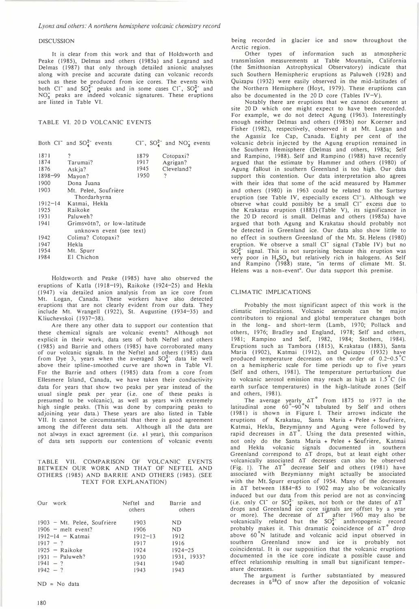#### Lyons and others: A northern hemisphere volcanic chemistry record

#### **DISCUSSION**

It is clear from this work and that of Holdsworth and Peake (1985), Delmas and others (1985a) and Legrand and Delmas (1987) that only through detailed anionic analyses along with precise and accurate dating can volcanic records such as these be produced from ice cores. The events with both Cl<sup>-</sup> and SO $_4^{2-}$  peaks and in some cases Cl<sup>-</sup>, SO $_4^{2-}$  and  $NO<sub>3</sub>$  peaks are indeed volcanic signatures. These eruptions are listed in Table VI.

# TABLE VI. 20 D VOLCANIC EVENTS

|             | Both $CI^-$ and $SO_4^{2-}$ events |      | $CI^-$ , $SO_4^2^-$ and $NO_3^-$ events |  |  |
|-------------|------------------------------------|------|-----------------------------------------|--|--|
| 1871        | ?                                  | 1879 | Cotopaxi?                               |  |  |
| 1874        | Tarumai?                           | 1917 | Agrigan?                                |  |  |
| 1876        | Askja?                             | 1945 | Cleveland?                              |  |  |
| 1898-99     | Mayon?                             | 1950 | ?                                       |  |  |
| 1900        | Dona Juana                         |      |                                         |  |  |
| 1903        | Mt. Peleé, Soufrière               |      |                                         |  |  |
|             | Thordarhyrna                       |      |                                         |  |  |
| $1912 - 14$ | Katmai, Hekla                      |      |                                         |  |  |
| 1925        | Raikoke                            |      |                                         |  |  |
| 1931        | Paluweh?                           |      |                                         |  |  |
| 1941        | Grimsvötn?, or low-latitude        |      |                                         |  |  |
|             | unknown event (see text)           |      |                                         |  |  |
| 1942        | Colima? Cotopaxi?                  |      |                                         |  |  |
| 1947        | Hekla                              |      |                                         |  |  |
| 1954        | Mt. Spurr                          |      |                                         |  |  |
| 1984        | El Chichon                         |      |                                         |  |  |

Holdsworth and Peake (1985) have also observed the eruptions of Katla (1918-19), Raikoke (1924-25) and Hekla (1947) via detailed anion analysis from an ice core from Mt. Logan, Canada. These workers have also detected eruptions that are not clearly evident from our data. They include Mt. Wrangell (1922), St. Augustine (1934-35) and Kliuchevskoi (1937-38).

Are there any other data to support our contention that these chemical signals are volcanic events? Although not explicit in their work, data sets of both Neftel and others ( 1985) and Barrie and others (1985) have corroborated many of our volcanic signals. In the Neftel and others (1985) data from Dye 3, years when the averaged  $SO_4^{2-}$  data lie well above their spline-smoothed curve are shown in Table VI. For the Barrie and others (1985) data from a core from Ellesmere Island, Canada, we have taken their conductivity data for years that show two peaks per year instead of the usual single peak per year (i.e. one of these peaks is presumed to be volcanic), as well as years with extremely high single peaks. (This was done by comparing peaks to adjoining year data.) These years are also listed in Table VII. It cannot be circumstantial that there is good agreement among the different data sets. Although all the data are not always in exact agreement (i.e. ±I year), this comparison of data sets supports our contentions of volcanic events

## TABLE VII. COMPARISON OF VOLCANIC EVENTS BETWEEN OUR WORK AND THAT OF NEFTEL AND OTHERS (1985) AND BARRIE AND OTHERS (1985). (SEE TEXT FOR EXPLANATION)

| Our work                    | Neftel and<br>others | Barrie and<br>others |
|-----------------------------|----------------------|----------------------|
| 1903 - Mt. Peleé, Soufrière | 1903                 | ND                   |
| $1906$ – melt event?        | 1906                 | ND.                  |
| $1912 - 14 -$ Katmai        | $1912 - 13$          | 1912                 |
| $1917 - ?$                  | 1917                 | 1916                 |
| $1925 -$ Raikoke            | 1924                 | $1924 - 25$          |
| $1931 - Paluweh?$           | 1930                 | 1931, 1933?          |
| $1941 - ?$                  | 1941                 | 1940                 |
| $1942 - ?$                  | 1943                 | 1943                 |

 $ND = No$  data

being recorded in glacier ice and snow throughout the Arctic region.

Other types of information such as atmospheric transmission measurements at Table Mountain, California (the Smithsonian Astrophysical Observatory) indicate that such Southern Hemispheric eruptions as Paluweh (1928) and Quizapu (1932) were easily observed in the mid-latitudes of the Northern Hemisphere (Hoyt, 1979). These eruptions can also be documented in the  $20 D$  core (Tables IV-V).

Notably there are eruptions that we cannot document at site 20 D which one might expect to have been recorded. For example, we do not detect Agung (1963). Interestingly enough neither Delmas and others (1985b) nor Koerner and Fisher (1982), respectively, observed it at Mt. Logan and the Agassiz Ice Cap, Canada. Eighty per cent of the volcanic debris injected by the Agung eruption remained in the Southern Hemisphere (Delmas and others, 1985a; Self and Rampino, 1988). Self and Rampino (1988) have recently argued that the estimate by Hammer and others (1980) of Agung fallout in southern Greenland is too high. Our data support this contention. Our data interpretation also agrees with their idea that some of the acid measured by Hammer and others (1980) in 1963 could be related to the Surtsey eruption (see Table IV, especially excess Cl<sup>-</sup>). Although we observe what could possibly be a small Cl<sup>-</sup> excess due to the Krakatau eruption (1883) (Table V), its significance in the 20 D record is small. Delmas and others (1985a) have argued that both Agung and Krakatau should probably not be detected in Greenland ice. Our data also show little to no effect in southern Greenland of the �t. St. Helens (I980) eruption. We observe a small Cl- signal (Table IV) but no  $SO_4^2$  signal. This is not surprising because this eruption was very poor in  $H_2SO_4$  but relatively rich in halogens. As Self and Rampino (1988) state, "in terms of climate Mt. St. Helens was a non-event". Our data support this premise.

#### CLIMA TIC IMPLICATIONS

Probably the most significant aspect of this work is the climatic implications. Volcanic aerosols can be major contributors to regional and global temperature changes both in the long-and short-term (Lamb, 1970; Pollack and others, 1976; Bradley and England, 1978; Self and others, 1981; Rampino and Self, 1982, 1984; Stothers, 1984). Eruptions such as Tambora (1815), Krakatau (1883), Santa Maria (1902), Katmai (1912), and Quizapu (1932) have produced temperature decreases on the order of 0.2-0.5°C on a hemispheric scale for time periods up to five years (Self and others, 1981). The temperature perturbations due to volcanic aerosol emission may reach as high as 1.5° C (in earth surface temperatures) in the high-latitude zones (Self and others, 1981).

The average yearly  $\Delta T$  from 1875 to 1977 in the latitudinal zone 60 -90 N tabulated by Self and others (1981) is shown in Figure I. Their arrows indicate the eruptions of Krakatau, Santa Maria + Pelee + Soufriere, Katmai, Hekla, Bezymianny and Agung were followed by rapid decreases in  $\Delta T$ . Using the data presented within, not only do the Santa Maria + Peleé + Soufrière, Katmai and Hekla volcanic signals documented in southern Greenland correspond to  $\Delta T$  drops, but at least eight other volcanically associated  $\Delta T$  decreases can also be observed (Fig. 1). The  $\Delta T^{\circ}$  decrease Self and others (1981) have associated with Bezymianny might actually be associated with the Mt. Spurr eruption of 1954. Many of the decreases in  $\Delta T$  between 1884-85 to 1902 may also be volcanically induced but our data from this period are not as convincing<br>(i.e. only Cl<sup>-</sup> or SO<sub>4</sub><sup>-</sup> spikes, not both or the dates of  $\Delta T$ drops and Greenland ice core signals are offset by a year or more). The decrease of  $\Delta T$  after 1960 may also be volcanically related but the  $SO_4^*$  anthropogenic record probably makes it. This dramatic coincidence of  $\Delta T$  drop above 60<sup>°</sup>N latitude and volcanic acid input observed in southern Greenland snow and ice is probably not coincidental. It is our supposition that the volcanic eruptions documented in the ice core indicate a possible cause and effect relationship resulting in small but significant temperature decreases.

The argument is further substantiated by measured decreases in  $\delta^{18}O$  of snow after the deposition of volcanic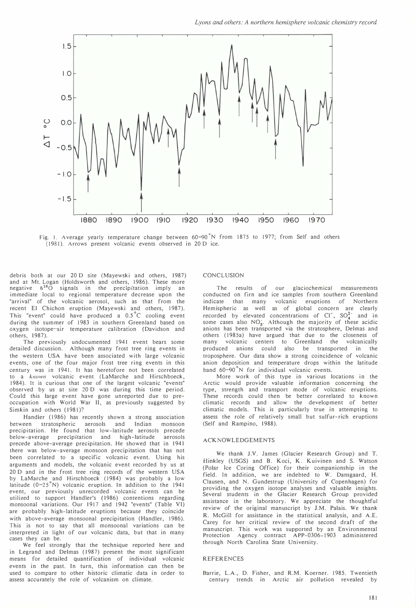

Fig. 1. Average yearly temperature change between  $60-90^\circ N$  from 1875 to 1977; from Self and others (1981). Arrows present volcanic events observed in 20 D ice.

debris both at our 20 D site (Mayewski and others, 1987) and at Mt. Logan (Holdsworth and others, 1986). These more negative  $\delta^{18}O$  signals in the precipitation imply an immediate local to regional temperature decrease upon the "arrival" of the volcanic aerosol, such as that from the recent El Chichon eruption (Mayewski and others, 1987). This "event" could have produced a 0.5° C cooling event during the summer of 1983 in southern Greenland based on oxygen isotope-air temperature calibration (Davidson and others, 1987).

The previously undocumented 1941 event bears some detailed discussion. Although many frost tree ring events in the western USA have been associated with large volcanic events, one of the four major frost tree ring events in this century was in 1941. It has heretofore not been correlated to a known volcanic event (LaMarche and Hirschboeck, 1984). It is curious that one of the largest volcanic "events" observed by us at site 20 D was during this time period. Could this large event have gone unreported due to preoccupation with World War II, as previously suggested by Simkin and others (1981)?

Handler (1986) has recently shown a strong association between stratospheric aerosols and Indian monsoon precipitation. He found that low-latitude aerosols precede below-average precipitation and high-latitude aerosols precede above-average precipitation. He showed that in 1941 there was below-average monsoon precipitation that has not been correlated to a specific volcanic event. Using his arguments and models, the volcanic event recorded by us at 20 D and in the frost tree ring records of the western USA by LaMarche and Hirschboeck (1984) was probably a low<br>latitude (0–25°N) volcanic eruption. In addition to the 1941 event, our previously unrecorded volcanic events can be utilized to support Handler's (1986) contentions regarding monsoonal variations. Our 1917 and 1942 "events" (Table VI) are probably high-latitude eruptions because they coincide with above-average monsoonal precipitation (Handler, 1986). This is not to say that all monsoonal variations can be interpreted in light of our volcanic data, but that in many cases they can be.

We feel strongly that the technique reported here and in Legrand and Delmas (1987) present the most significant means for detailed quantification of individual volcanic events in the past. In turn, this information can then be used to compare to other historic climatic data in order to assess accurately the role of volcanism on climate.

#### **CONCLUSION**

The results of our glaciochemical measurements conducted on firn and ice samples from southern Greenland indicate that many volcanic eruptions of Northern volcanic eruptions of Northern Hemispheric as well as of global concern are clearly recorded by elevated concentrations of Cl<sup>-</sup>,  $SO_4^{2-}$  and in some cases also  $NO<sub>2</sub>$ . Although the majority of these acidic anions has been transported via the stratosphere, Delmas and others (1985a) have argued that due to the closeness of volcanic centers to Greenland the volcanically produced anions could also be transported in the troposphere. Our data show a strong coincidence of volcanic anion deposition and temperature drops within the latitude band 60-90<sup>°</sup>N for individual volcanic events.

More work of this type in various locations in the Arctic would provide valuable information concerning the type, strength and transport mode of volcanic eruptions. These records could then be better correlated to known climatic records and allow the development of better climatic models. This is particularly true in attempting to assess the role of relatively small but sulfur-rich eruptions (Self and Rampino, 1988).

#### ACKNOWLEDGEMENTS

We thank J.V. James (Glacier Research Group) and T. Hinkley (USGS) and B. Koci, K. Kuivinen and S. Watson (Polar Ice Coring Office) for their companionship in the field. In addition, we are indebted to W. Dansgaard, H. Clausen, and N. Gundestrup (University of Copenhagen) for providing the oxygen isotope analyses and valuable insights. Several students in the Glacier Research Group provided assistance in the laboratory. We appreciate the thoughtful review of the original manuscript by J.M. Palais. We thank R. McGill for assistance in the statistical analysis, and A.E. Carey for her critical review of the second draft of the manuscript. This work was supported by an Environmental Protection Agency contract APP-0306-1903 administered through North Carolina State University.

### REFERENCES

Barrie, L.A., D. Fisher, and R.M. Koerner. 1985. Twentieth century trends in Arctic air pollution revealed by